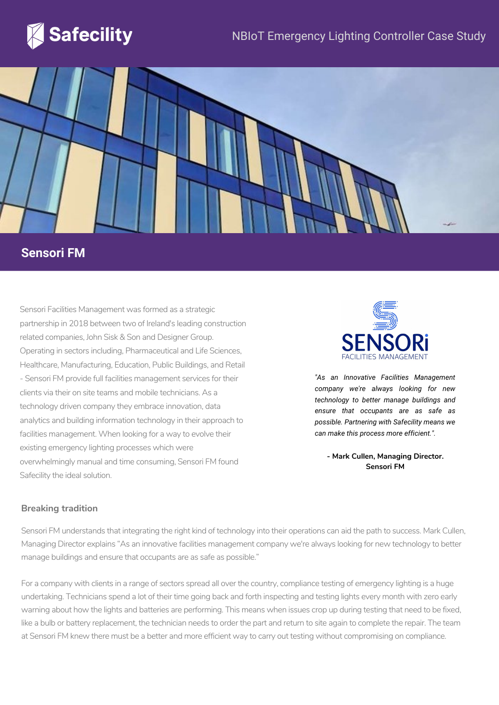



# **Sensori FM**

Sensori Facilities Management was formed as a strategic partnership in 2018 between two of Ireland's leading construction related companies, John Sisk & Son and Designer Group. Operating in sectors including, Pharmaceutical and Life Sciences, Healthcare, Manufacturing, Education, Public Buildings, and Retail - Sensori FM provide full facilities management services for their clients via their on site teams and mobile technicians. As a technology driven company they embrace innovation, data analytics and building information technology in their approach to facilities management. When looking for a way to evolve their existing emergency lighting processes which were overwhelmingly manual and time consuming, Sensori FM found Safecility the ideal solution.



*"As an Innovative Facilities Management company we're always looking for new technology to better manage buildings and ensure that occupants are as safe as possible. Partnering with Safecility means we can make this process more efficient.".*

**- Mark Cullen, Managing Director. Sensori FM**

#### **Breaking tradition**

Sensori FM understands that integrating the right kind of technology into their operations can aid the path to success. Mark Cullen, Managing Director explains "As an innovative facilities management company we're always looking for new technology to better manage buildings and ensure that occupants are as safe as possible."

For a company with clients in a range of sectors spread all over the country, compliance testing of emergency lighting is a huge undertaking. Technicians spend a lot of their time going back and forth inspecting and testing lights every month with zero early warning about how the lights and batteries are performing. This means when issues crop up during testing that need to be fixed, like a bulb or battery replacement, the technician needs to order the part and return to site again to complete the repair. The team at Sensori FM knew there must be a better and more efficient way to carry out testing without compromising on compliance.